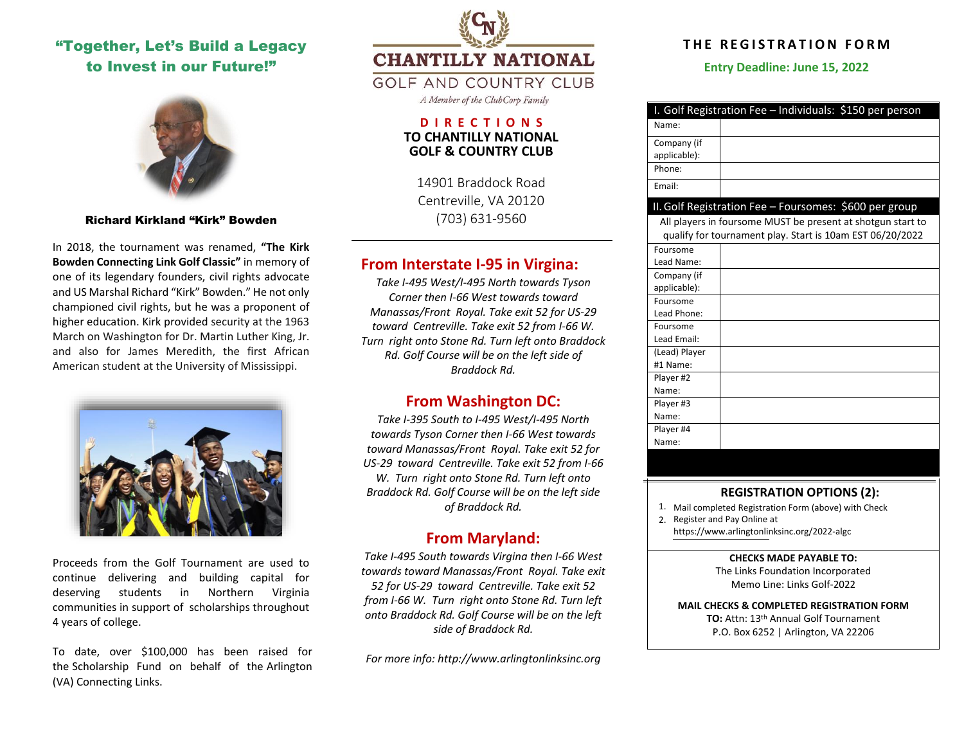# "Together, Let's Build a Legacy to Invest in our Future!"



Richard Kirkland "Kirk" Bowden

In 2018, the tournament was renamed, **"The Kirk Bowden Connecting Link Golf Classic"** in memory of one of its legendary founders, civil rights advocate and US Marshal Richard "Kirk" Bowden." He not only championed civil rights, but he was a proponent of higher education. Kirk provided security at the 1963 March on Washington for Dr. Martin Luther King, Jr. and also for James Meredith, the first African American student at the University of Mississippi.



Proceeds from the Golf Tournament are used to continue delivering and building capital for deserving students in Northern Virginia communities in support of scholarships throughout 4 years of college.

To date, over \$100,000 has been raised for the Scholarship Fund on behalf of the Arlington (VA) Connecting Links.

**CHANTILLY NATIONAL** 

**GOLF AND COUNTRY CLUB** 

A Member of the ClubCorp Family

## **D I R E C T I O N S TO CHANTILLY NATIONAL GOLF & COUNTRY CLUB**

14901 Braddock Road Centreville, VA 20120 (703) 631-9560

# **From Interstate I-95 in Virgina:**

*Take I-495 West/I-495 North towards Tyson Corner then I-66 West towards toward Manassas/Front Royal. Take exit 52 for US-29 toward Centreville. Take exit 52 from I-66 W. Turn right onto Stone Rd. Turn left onto Braddock Rd. Golf Course will be on the left side of Braddock Rd.* 

# **From Washington DC:**

*Take I-395 South to I-495 West/I-495 North towards Tyson Corner then I-66 West towards toward Manassas/Front Royal. Take exit 52 for US-29 toward Centreville. Take exit 52 from I-66 W. Turn right onto Stone Rd. Turn left onto Braddock Rd. Golf Course will be on the left side of Braddock Rd.* 

# **From Maryland:**

*Take I-495 South towards Virgina then I-66 West towards toward Manassas/Front Royal. Take exit 52 for US-29 toward Centreville. Take exit 52 from I-66 W. Turn right onto Stone Rd. Turn left onto Braddock Rd. Golf Course will be on the left side of Braddock Rd.*

*For more info[: http://www.arlingtonlinksinc.org](http://www.arlingtonlinksinc.org/)* 

# **T HE R E G I S T R A T ION F O R M**

**Entry Deadline: June 15, 2022**

| I. Golf Registration Fee - Individuals: \$150 per person                                                                 |                                                        |
|--------------------------------------------------------------------------------------------------------------------------|--------------------------------------------------------|
| Name:                                                                                                                    |                                                        |
| Company (if                                                                                                              |                                                        |
| applicable):                                                                                                             |                                                        |
| Phone:                                                                                                                   |                                                        |
| Email:                                                                                                                   |                                                        |
|                                                                                                                          | II. Golf Registration Fee - Foursomes: \$600 per group |
| All players in foursome MUST be present at shotgun start to<br>qualify for tournament play. Start is 10am EST 06/20/2022 |                                                        |
| Foursome                                                                                                                 |                                                        |
| Lead Name:                                                                                                               |                                                        |
| Company (if                                                                                                              |                                                        |
| applicable):                                                                                                             |                                                        |
| Foursome                                                                                                                 |                                                        |
| Lead Phone:                                                                                                              |                                                        |
| Foursome                                                                                                                 |                                                        |
| Lead Email:                                                                                                              |                                                        |
| (Lead) Player                                                                                                            |                                                        |
| #1 Name:                                                                                                                 |                                                        |
| Player #2                                                                                                                |                                                        |
| Name:                                                                                                                    |                                                        |
| Player #3                                                                                                                |                                                        |
| Name:                                                                                                                    |                                                        |
| Player #4                                                                                                                |                                                        |
| Name:                                                                                                                    |                                                        |

## **REGISTRATION OPTIONS (2):**

1. Mail completed Registration Form (above) with Check

2. Register and Pay Online at

[https://www.arlingtonlinksinc.org/2022-algc](https://www.arlingtonlinksinc.org/connecting-giving-event)

### **CHECKS MADE PAYABLE TO:**

The Links Foundation Incorporated Memo Line: Links Golf-2022

# **MAIL CHECKS & COMPLETED REGISTRATION FORM TO:** Attn: 13 th Annual Golf Tournament

P.O. Box 6252 | Arlington, VA 22206